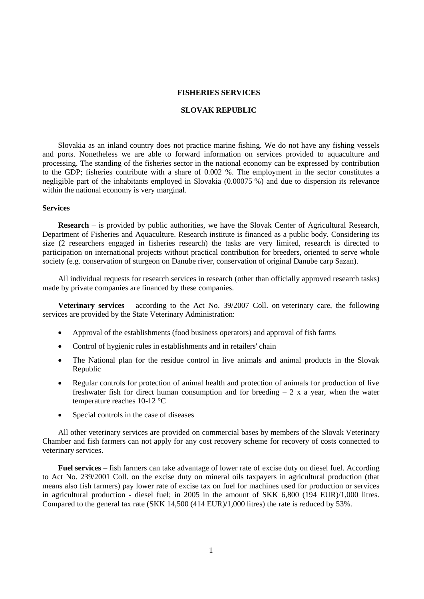## **FISHERIES SERVICES**

## **SLOVAK REPUBLIC**

Slovakia as an inland country does not practice marine fishing. We do not have any fishing vessels and ports. Nonetheless we are able to forward information on services provided to aquaculture and processing. The standing of the fisheries sector in the national economy can be expressed by contribution to the GDP; fisheries contribute with a share of 0.002 %. The employment in the sector constitutes a negligible part of the inhabitants employed in Slovakia (0.00075 %) and due to dispersion its relevance within the national economy is very marginal.

## **Services**

**Research** – is provided by public authorities, we have the Slovak Center of Agricultural Research, Department of Fisheries and Aquaculture. Research institute is financed as a public body. Considering its size (2 researchers engaged in fisheries research) the tasks are very limited, research is directed to participation on international projects without practical contribution for breeders, oriented to serve whole society (e.g. conservation of sturgeon on Danube river, conservation of original Danube carp Sazan).

All individual requests for research services in research (other than officially approved research tasks) made by private companies are financed by these companies.

**Veterinary services** – according to the Act No. 39/2007 Coll. on veterinary care, the following services are provided by the State Veterinary Administration:

- Approval of the establishments (food business operators) and approval of fish farms
- Control of hygienic rules in establishments and in retailers' chain
- The National plan for the residue control in live animals and animal products in the Slovak Republic
- Regular controls for protection of animal health and protection of animals for production of live freshwater fish for direct human consumption and for breeding  $-2x$  a year, when the water temperature reaches 10-12 °C
- Special controls in the case of diseases

All other veterinary services are provided on commercial bases by members of the Slovak Veterinary Chamber and fish farmers can not apply for any cost recovery scheme for recovery of costs connected to veterinary services.

**Fuel services** – fish farmers can take advantage of lower rate of excise duty on diesel fuel. According to Act No. 239/2001 Coll. on the excise duty on mineral oils taxpayers in agricultural production (that means also fish farmers) pay lower rate of excise tax on fuel for machines used for production or services in agricultural production - diesel fuel; in 2005 in the amount of SKK 6,800 (194 EUR)/1,000 litres. Compared to the general tax rate (SKK 14,500 (414 EUR)/1,000 litres) the rate is reduced by 53%.